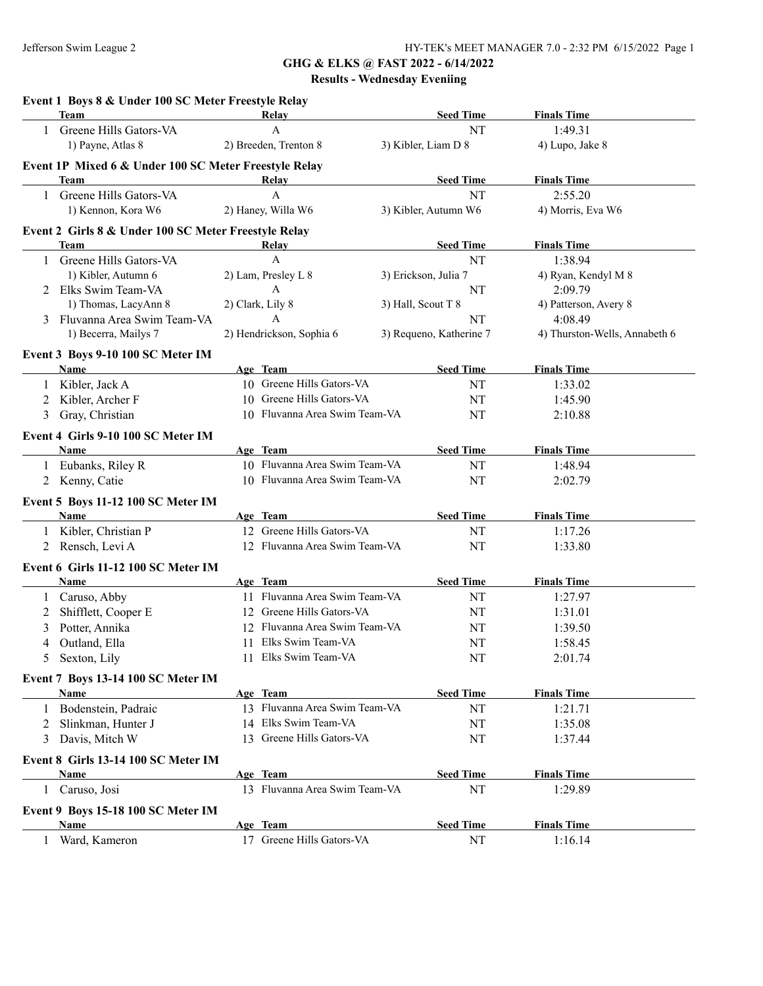**GHG & ELKS @ FAST 2022 - 6/14/2022**

**Results - Wednesday Eveniing**

|              | Event 1 Boys 8 & Under 100 SC Meter Freestyle Relay<br><b>Team</b> | Relay                                             | <b>Seed Time</b>        | <b>Finals Time</b>            |
|--------------|--------------------------------------------------------------------|---------------------------------------------------|-------------------------|-------------------------------|
| $\mathbf{1}$ | Greene Hills Gators-VA                                             | $\mathbf{A}$                                      | NT                      | 1:49.31                       |
|              | 1) Payne, Atlas 8                                                  | 2) Breeden, Trenton 8                             | 3) Kibler, Liam D 8     | 4) Lupo, Jake 8               |
|              |                                                                    |                                                   |                         |                               |
|              | Event 1P Mixed 6 & Under 100 SC Meter Freestyle Relay<br>Team      | Relay                                             | <b>Seed Time</b>        | <b>Finals Time</b>            |
|              | 1 Greene Hills Gators-VA                                           | $\mathbf{A}$                                      | NT                      | 2:55.20                       |
|              | 1) Kennon, Kora W6                                                 | 2) Haney, Willa W6                                | 3) Kibler, Autumn W6    | 4) Morris, Eva W6             |
|              |                                                                    |                                                   |                         |                               |
|              | Event 2 Girls 8 & Under 100 SC Meter Freestyle Relay               |                                                   |                         |                               |
|              | Team                                                               | Relay                                             | <b>Seed Time</b>        | <b>Finals Time</b>            |
| $\mathbf{1}$ | Greene Hills Gators-VA                                             | $\mathbf{A}$                                      | NT                      | 1:38.94                       |
|              | 1) Kibler, Autumn 6                                                | 2) Lam, Presley L 8                               | 3) Erickson, Julia 7    | 4) Ryan, Kendyl M 8           |
|              | 2 Elks Swim Team-VA                                                | $\mathbf{A}$                                      | NT                      | 2:09.79                       |
|              | 1) Thomas, LacyAnn 8                                               | 2) Clark, Lily 8                                  | 3) Hall, Scout T 8      | 4) Patterson, Avery 8         |
|              | 3 Fluvanna Area Swim Team-VA                                       | A                                                 | NT                      | 4:08.49                       |
|              | 1) Becerra, Mailys 7                                               | 2) Hendrickson, Sophia 6                          | 3) Requeno, Katherine 7 | 4) Thurston-Wells, Annabeth 6 |
|              | Event 3 Boys 9-10 100 SC Meter IM                                  |                                                   |                         |                               |
|              | <b>Name</b>                                                        | Age Team                                          | <b>Seed Time</b>        | <b>Finals Time</b>            |
|              | Kibler, Jack A                                                     | 10 Greene Hills Gators-VA                         | NT                      | 1:33.02                       |
| 2            | Kibler, Archer F                                                   | 10 Greene Hills Gators-VA                         | NT                      | 1:45.90                       |
| 3            | Gray, Christian                                                    | 10 Fluvanna Area Swim Team-VA                     | NT                      | 2:10.88                       |
|              | Event 4 Girls 9-10 100 SC Meter IM                                 |                                                   |                         |                               |
|              | Name                                                               | Age Team                                          | <b>Seed Time</b>        | <b>Finals Time</b>            |
|              | 1 Eubanks, Riley R                                                 | 10 Fluvanna Area Swim Team-VA                     | NT                      | 1:48.94                       |
| 2            | Kenny, Catie                                                       | 10 Fluvanna Area Swim Team-VA                     | NT                      | 2:02.79                       |
|              |                                                                    |                                                   |                         |                               |
|              | Event 5 Boys 11-12 100 SC Meter IM                                 |                                                   |                         |                               |
|              | Name                                                               | Age Team                                          | <b>Seed Time</b>        | <b>Finals Time</b>            |
| $\mathbf{1}$ | Kibler, Christian P                                                | 12 Greene Hills Gators-VA                         | NT                      | 1:17.26                       |
| 2            | Rensch, Levi A                                                     | 12 Fluvanna Area Swim Team-VA                     | NT                      | 1:33.80                       |
|              | Event 6 Girls 11-12 100 SC Meter IM                                |                                                   |                         |                               |
|              | Name                                                               | Age Team                                          | <b>Seed Time</b>        | <b>Finals Time</b>            |
| $\mathbf{1}$ | Caruso, Abby                                                       | 11 Fluvanna Area Swim Team-VA                     | NT                      | 1:27.97                       |
| 2            | Shifflett, Cooper E                                                | 12 Greene Hills Gators-VA                         | NT                      | 1:31.01                       |
| 3            | Potter, Annika                                                     | 12 Fluvanna Area Swim Team-VA                     | NT                      | 1:39.50                       |
| 4            | Outland, Ella                                                      | 11 Elks Swim Team-VA                              | NT                      | 1:58.45                       |
|              | 5 Sexton, Lily                                                     | 11 Elks Swim Team-VA                              | NT                      | 2:01.74                       |
|              |                                                                    |                                                   |                         |                               |
|              | Event 7 Boys 13-14 100 SC Meter IM                                 |                                                   |                         |                               |
|              | Name                                                               | Age Team<br>13 Fluvanna Area Swim Team-VA         | <b>Seed Time</b><br>NT  | <b>Finals Time</b>            |
| $\mathbf{1}$ | Bodenstein, Padraic                                                |                                                   |                         | 1:21.71                       |
| 2            | Slinkman, Hunter J                                                 | 14 Elks Swim Team-VA<br>13 Greene Hills Gators-VA | NT                      | 1:35.08                       |
| 3            | Davis, Mitch W                                                     |                                                   | NT                      | 1:37.44                       |
|              | Event 8 Girls 13-14 100 SC Meter IM                                |                                                   |                         |                               |
|              | Name                                                               | Age Team                                          | <b>Seed Time</b>        | <b>Finals Time</b>            |
| 1            | Caruso, Josi                                                       | 13 Fluvanna Area Swim Team-VA                     | NT                      | 1:29.89                       |
|              | Event 9 Boys 15-18 100 SC Meter IM                                 |                                                   |                         |                               |
|              | <b>Name</b>                                                        | Age Team                                          | <b>Seed Time</b>        | <b>Finals Time</b>            |
| 1            | Ward, Kameron                                                      | 17 Greene Hills Gators-VA                         | NT                      | 1:16.14                       |
|              |                                                                    |                                                   |                         |                               |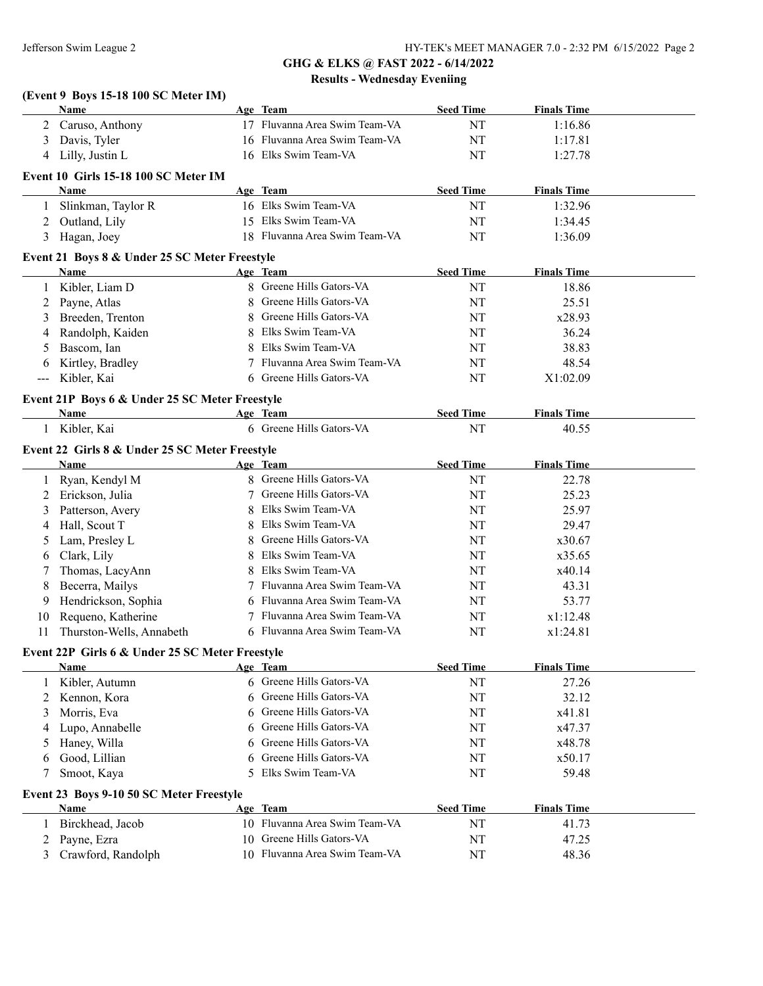# **(Event 9 Boys 15-18 100 SC Meter IM)**

|       | Name                                            |            | Age Team                      | <b>Seed Time</b> | <b>Finals Time</b> |  |
|-------|-------------------------------------------------|------------|-------------------------------|------------------|--------------------|--|
| 2     | Caruso, Anthony                                 |            | 17 Fluvanna Area Swim Team-VA | NT               | 1:16.86            |  |
| 3     | Davis, Tyler                                    |            | 16 Fluvanna Area Swim Team-VA | NT               | 1:17.81            |  |
| 4     | Lilly, Justin L                                 |            | 16 Elks Swim Team-VA          | NT               | 1:27.78            |  |
|       |                                                 |            |                               |                  |                    |  |
|       | Event 10 Girls 15-18 100 SC Meter IM            |            |                               |                  |                    |  |
|       | Name                                            |            | Age Team                      | <b>Seed Time</b> | <b>Finals Time</b> |  |
| 1     | Slinkman, Taylor R                              |            | 16 Elks Swim Team-VA          | NT               | 1:32.96            |  |
| 2     | Outland, Lily                                   |            | 15 Elks Swim Team-VA          | NT               | 1:34.45            |  |
| 3     | Hagan, Joey                                     |            | 18 Fluvanna Area Swim Team-VA | NT               | 1:36.09            |  |
|       | Event 21 Boys 8 & Under 25 SC Meter Freestyle   |            |                               |                  |                    |  |
|       | Name                                            |            | Age Team                      | <b>Seed Time</b> | <b>Finals Time</b> |  |
| 1     | Kibler, Liam D                                  |            | 8 Greene Hills Gators-VA      | NT               | 18.86              |  |
| 2     | Payne, Atlas                                    | 8          | Greene Hills Gators-VA        | NT               | 25.51              |  |
| 3     | Breeden, Trenton                                | 8          | Greene Hills Gators-VA        | NT               | x28.93             |  |
| 4     | Randolph, Kaiden                                | 8          | Elks Swim Team-VA             | NT               | 36.24              |  |
| 5     | Bascom, Ian                                     | 8          | Elks Swim Team-VA             | NT               | 38.83              |  |
|       | Kirtley, Bradley                                | 7          | Fluvanna Area Swim Team-VA    | NT               | 48.54              |  |
| 6     | Kibler, Kai                                     |            | 6 Greene Hills Gators-VA      | NT               | X1:02.09           |  |
| $---$ |                                                 |            |                               |                  |                    |  |
|       | Event 21P Boys 6 & Under 25 SC Meter Freestyle  |            |                               |                  |                    |  |
|       | Name                                            |            | Age Team                      | <b>Seed Time</b> | <b>Finals Time</b> |  |
| 1     | Kibler, Kai                                     |            | 6 Greene Hills Gators-VA      | NT               | 40.55              |  |
|       | Event 22 Girls 8 & Under 25 SC Meter Freestyle  |            |                               |                  |                    |  |
|       | Name                                            |            | Age Team                      | <b>Seed Time</b> | <b>Finals Time</b> |  |
| 1     | Ryan, Kendyl M                                  |            | Greene Hills Gators-VA        | NT               | 22.78              |  |
| 2     | Erickson, Julia                                 | 7          | Greene Hills Gators-VA        | NT               | 25.23              |  |
| 3     | Patterson, Avery                                | 8          | Elks Swim Team-VA             | NT               | 25.97              |  |
| 4     | Hall, Scout T                                   | 8          | Elks Swim Team-VA             | NT               | 29.47              |  |
|       |                                                 | 8          | Greene Hills Gators-VA        |                  |                    |  |
| 5     | Lam, Presley L                                  |            | Elks Swim Team-VA             | NT               | x30.67             |  |
| 6     | Clark, Lily                                     | 8          |                               | NT               | x35.65             |  |
| 7     | Thomas, LacyAnn                                 | 8          | Elks Swim Team-VA             | NT               | x40.14             |  |
| 8     | Becerra, Mailys                                 |            | Fluvanna Area Swim Team-VA    | NT               | 43.31              |  |
| 9     | Hendrickson, Sophia                             | 6          | Fluvanna Area Swim Team-VA    | NT               | 53.77              |  |
| 10    | Requeno, Katherine                              |            | Fluvanna Area Swim Team-VA    | NT               | x1:12.48           |  |
| 11    | Thurston-Wells, Annabeth                        |            | 6 Fluvanna Area Swim Team-VA  | NT               | x1:24.81           |  |
|       | Event 22P Girls 6 & Under 25 SC Meter Freestyle |            |                               |                  |                    |  |
|       | Name                                            | <u>Age</u> | <b>Team</b>                   | <b>Seed Time</b> | <b>Finals Time</b> |  |
|       | Kibler, Autumn                                  | 6          | Greene Hills Gators-VA        | NT               | 27.26              |  |
| 2     | Kennon, Kora                                    | 6          | Greene Hills Gators-VA        | NT               | 32.12              |  |
| 3     | Morris, Eva                                     | 6          | Greene Hills Gators-VA        | NT               | x41.81             |  |
| 4     | Lupo, Annabelle                                 | 6          | Greene Hills Gators-VA        | NT               | x47.37             |  |
| 5     | Haney, Willa                                    | 6          | Greene Hills Gators-VA        | NT               | x48.78             |  |
| 6     | Good, Lillian                                   | 6          | Greene Hills Gators-VA        | NT               | x50.17             |  |
| 7     | Smoot, Kaya                                     | 5          | Elks Swim Team-VA             | NT               | 59.48              |  |
|       |                                                 |            |                               |                  |                    |  |
|       | Event 23 Boys 9-10 50 SC Meter Freestyle        |            |                               |                  |                    |  |
|       | <b>Name</b>                                     |            | Age Team                      | <b>Seed Time</b> | <b>Finals Time</b> |  |
| 1     | Birckhead, Jacob                                |            | 10 Fluvanna Area Swim Team-VA | NT               | 41.73              |  |
| 2     | Payne, Ezra                                     | 10         | Greene Hills Gators-VA        | NT               | 47.25              |  |
|       | Crawford, Randolph                              |            | 10 Fluvanna Area Swim Team-VA | NT               | 48.36              |  |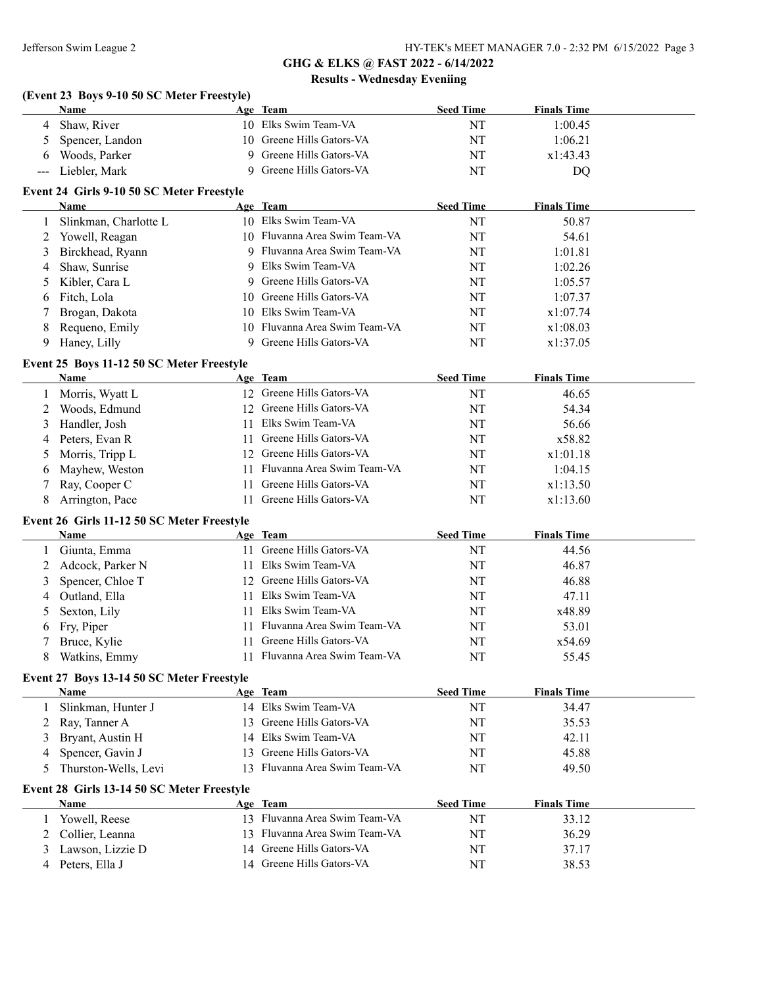#### **(Event 23 Boys 9-10 50 SC Meter Freestyle)**

| Name              | Age Team                  | <b>Seed Time</b> | <b>Finals Time</b> |
|-------------------|---------------------------|------------------|--------------------|
| Shaw, River       | 10 Elks Swim Team-VA      | NT               | 1:00.45            |
| Spencer, Landon   | 10 Greene Hills Gators-VA | NT               | 1:06.21            |
| Woods, Parker     | Greene Hills Gators-VA    | NT               | x1:43.43           |
| --- Liebler, Mark | Greene Hills Gators-VA    | NT               | DO                 |

#### **Event 24 Girls 9-10 50 SC Meter Freestyle**

|   | Name                  | Age Team                      | <b>Seed Time</b> | <b>Finals Time</b> |  |
|---|-----------------------|-------------------------------|------------------|--------------------|--|
|   | Slinkman, Charlotte L | 10 Elks Swim Team-VA          | NT               | 50.87              |  |
|   | 2 Yowell, Reagan      | 10 Fluvanna Area Swim Team-VA | NT               | 54.61              |  |
|   | 3 Birckhead, Ryann    | 9 Fluvanna Area Swim Team-VA  | NT               | 1:01.81            |  |
|   | 4 Shaw, Sunrise       | 9 Elks Swim Team-VA           | NT               | 1:02.26            |  |
|   | 5 Kibler, Cara L      | 9 Greene Hills Gators-VA      | NT               | 1:05.57            |  |
|   | 6 Fitch, Lola         | 10 Greene Hills Gators-VA     | NT               | 1:07.37            |  |
|   | 7 Brogan, Dakota      | 10 Elks Swim Team-VA          | NT               | x1:07.74           |  |
|   | 8 Requeno, Emily      | 10 Fluvanna Area Swim Team-VA | NT               | x1:08.03           |  |
| 9 | Haney, Lilly          | 9 Greene Hills Gators-VA      | NT               | x1:37.05           |  |

#### **Event 25 Boys 11-12 50 SC Meter Freestyle**

|    | Name              |     | Age Team                      | <b>Seed Time</b> | <b>Finals Time</b> |
|----|-------------------|-----|-------------------------------|------------------|--------------------|
|    | Morris, Wyatt L   |     | 12 Greene Hills Gators-VA     | NT               | 46.65              |
|    | 2 Woods, Edmund   |     | 12 Greene Hills Gators-VA     | NT               | 54.34              |
|    | 3 Handler, Josh   | 11. | Elks Swim Team-VA             | NT               | 56.66              |
|    | 4 Peters, Evan R  |     | 11 Greene Hills Gators-VA     | NT               | x58.82             |
|    | 5 Morris, Tripp L |     | 12 Greene Hills Gators-VA     | NT               | x1:01.18           |
|    | 6 Mayhew, Weston  |     | 11 Fluvanna Area Swim Team-VA | NT               | 1:04.15            |
|    | 7 Ray, Cooper C   | 11. | Greene Hills Gators-VA        | NT               | x1:13.50           |
| 8. | Arrington, Pace   |     | Greene Hills Gators-VA        | NT               | x1:13.60           |

#### **Event 26 Girls 11-12 50 SC Meter Freestyle**

|   | <b>Name</b>      | Age Team                      | <b>Seed Time</b> | <b>Finals Time</b> |  |
|---|------------------|-------------------------------|------------------|--------------------|--|
|   | Giunta, Emma     | Greene Hills Gators-VA        | NT               | 44.56              |  |
|   | Adcock, Parker N | 11 Elks Swim Team-VA          | NT               | 46.87              |  |
| 3 | Spencer, Chloe T | 12 Greene Hills Gators-VA     | NT               | 46.88              |  |
| 4 | Outland, Ella    | 11 Elks Swim Team-VA          | NT               | 47.11              |  |
|   | Sexton, Lily     | 11 Elks Swim Team-VA          | NT               | x48.89             |  |
|   | 6 Fry, Piper     | 11 Fluvanna Area Swim Team-VA | NT               | 53.01              |  |
|   | Bruce, Kylie     | Greene Hills Gators-VA        | NT               | x54.69             |  |
| 8 | Watkins, Emmy    | Fluvanna Area Swim Team-VA    | NT               | 55.45              |  |

#### **Event 27 Boys 13-14 50 SC Meter Freestyle**

| <b>Name</b>          | Age Team                      | <b>Seed Time</b> | <b>Finals Time</b> |
|----------------------|-------------------------------|------------------|--------------------|
| Slinkman, Hunter J   | 14 Elks Swim Team-VA          | NT               | 34.47              |
| 2 Ray, Tanner A      | 13 Greene Hills Gators-VA     | NT               | 35.53              |
| 3 Bryant, Austin H   | 14 Elks Swim Team-VA          | NT               | 42.11              |
| Spencer, Gavin J     | 13 Greene Hills Gators-VA     | NT               | 45.88              |
| Thurston-Wells, Levi | 13 Fluvanna Area Swim Team-VA | NT               | 49.50              |

#### **Event 28 Girls 13-14 50 SC Meter Freestyle**

| <b>Name</b>       | Age Team                      | <b>Seed Time</b> | <b>Finals Time</b> |
|-------------------|-------------------------------|------------------|--------------------|
| Yowell, Reese     | 13 Fluvanna Area Swim Team-VA | NΊ               | 33.12              |
| 2 Collier, Leanna | 13 Fluvanna Area Swim Team-VA | NT               | 36.29              |
| Lawson, Lizzie D  | 14 Greene Hills Gators-VA     | NT               | 37.17              |
| Peters, Ella J    | 14 Greene Hills Gators-VA     | NT               | 38.53              |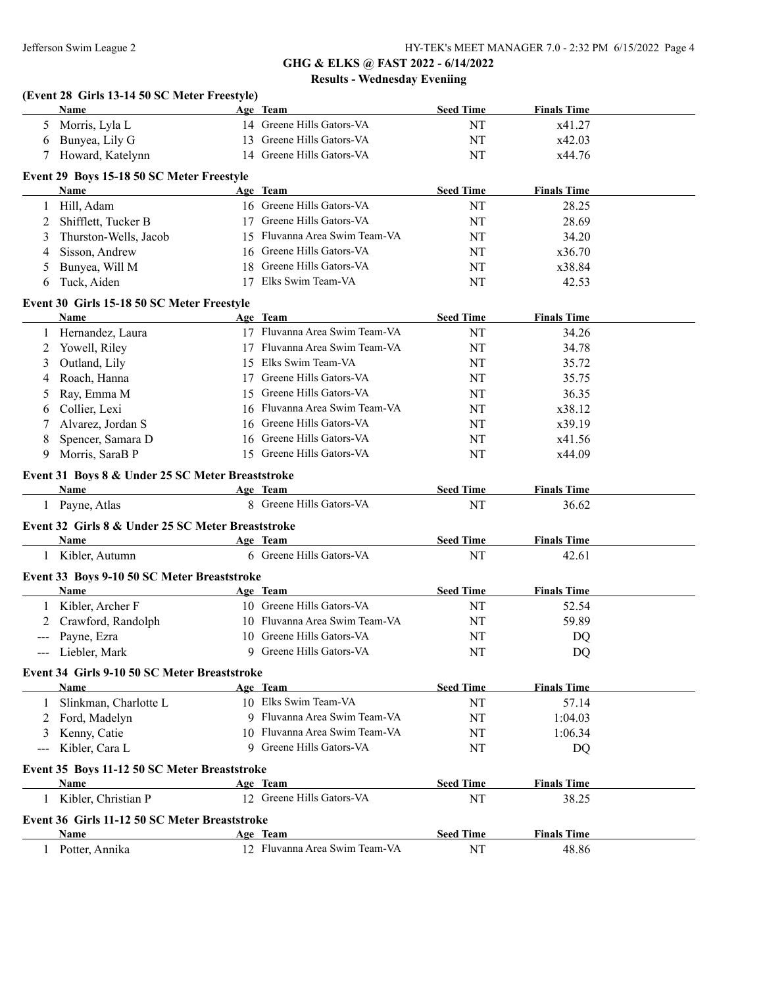|               | Name                                                       | Age Team                                              | <b>Seed Time</b>       | <b>Finals Time</b>          |  |
|---------------|------------------------------------------------------------|-------------------------------------------------------|------------------------|-----------------------------|--|
|               | 5 Morris, Lyla L                                           | 14 Greene Hills Gators-VA                             | NT                     | x41.27                      |  |
| 6             | Bunyea, Lily G                                             | 13 Greene Hills Gators-VA                             | NT                     | x42.03                      |  |
| 7             | Howard, Katelynn                                           | 14 Greene Hills Gators-VA                             | NT                     | x44.76                      |  |
|               | Event 29 Boys 15-18 50 SC Meter Freestyle                  |                                                       |                        |                             |  |
|               | Name                                                       | Age Team                                              | <b>Seed Time</b>       | <b>Finals Time</b>          |  |
| 1             | Hill, Adam                                                 | 16 Greene Hills Gators-VA                             | NT                     | 28.25                       |  |
| 2             | Shifflett, Tucker B                                        | 17 Greene Hills Gators-VA                             | NT                     | 28.69                       |  |
| 3             | Thurston-Wells, Jacob                                      | 15 Fluvanna Area Swim Team-VA                         | NT                     | 34.20                       |  |
| 4             | Sisson, Andrew                                             | 16 Greene Hills Gators-VA                             | NT                     | x36.70                      |  |
| 5             | Bunyea, Will M                                             | 18 Greene Hills Gators-VA                             | NT                     | x38.84                      |  |
| 6             | Tuck, Aiden                                                | 17 Elks Swim Team-VA                                  | NT                     | 42.53                       |  |
|               | Event 30 Girls 15-18 50 SC Meter Freestyle                 |                                                       |                        |                             |  |
|               | <b>Name</b>                                                | Age Team                                              | <b>Seed Time</b>       | <b>Finals Time</b>          |  |
| 1             | Hernandez, Laura                                           | 17 Fluvanna Area Swim Team-VA                         | NT                     | 34.26                       |  |
| 2             | Yowell, Riley                                              | 17 Fluvanna Area Swim Team-VA                         | NT                     | 34.78                       |  |
| 3             | Outland, Lily                                              | 15 Elks Swim Team-VA                                  | NT                     | 35.72                       |  |
| 4             | Roach, Hanna                                               | 17 Greene Hills Gators-VA                             | NT                     | 35.75                       |  |
| 5             | Ray, Emma M                                                | 15 Greene Hills Gators-VA                             | NT                     | 36.35                       |  |
| 6             | Collier, Lexi                                              | 16 Fluvanna Area Swim Team-VA                         | NT                     | x38.12                      |  |
| 7             | Alvarez, Jordan S                                          | 16 Greene Hills Gators-VA                             | NT                     | x39.19                      |  |
| 8             | Spencer, Samara D                                          | 16 Greene Hills Gators-VA                             | NT                     | x41.56                      |  |
| 9             | Morris, SaraB P                                            | 15 Greene Hills Gators-VA                             | NT                     | x44.09                      |  |
|               |                                                            |                                                       |                        |                             |  |
|               | Event 31 Boys 8 & Under 25 SC Meter Breaststroke<br>Name   | Age Team                                              | <b>Seed Time</b>       | <b>Finals Time</b>          |  |
|               | 1 Payne, Atlas                                             | 8 Greene Hills Gators-VA                              | NT                     | 36.62                       |  |
|               | Event 32 Girls 8 & Under 25 SC Meter Breaststroke          |                                                       |                        |                             |  |
|               | Name                                                       | Age Team                                              | <b>Seed Time</b>       | <b>Finals Time</b>          |  |
|               | 1 Kibler, Autumn                                           | 6 Greene Hills Gators-VA                              | NT                     | 42.61                       |  |
|               |                                                            |                                                       |                        |                             |  |
|               |                                                            |                                                       |                        |                             |  |
|               | Event 33 Boys 9-10 50 SC Meter Breaststroke<br><b>Name</b> | Age Team                                              | <b>Seed Time</b>       | <b>Finals Time</b>          |  |
|               |                                                            | 10 Greene Hills Gators-VA                             |                        |                             |  |
| 2             | Kibler, Archer F                                           | 10 Fluvanna Area Swim Team-VA                         | NT                     | 52.54                       |  |
|               | Crawford, Randolph                                         |                                                       | NT                     | 59.89                       |  |
| $\sim$ $\sim$ | Payne, Ezra<br>--- Liebler, Mark                           | 10 Greene Hills Gators-VA<br>9 Greene Hills Gators-VA | NT<br><b>NT</b>        | DQ<br>DQ                    |  |
|               |                                                            |                                                       |                        |                             |  |
|               | Event 34 Girls 9-10 50 SC Meter Breaststroke               |                                                       |                        |                             |  |
|               | Name                                                       | Age Team                                              | <b>Seed Time</b>       | <b>Finals Time</b>          |  |
| 1             | Slinkman, Charlotte L                                      | 10 Elks Swim Team-VA                                  | NT                     | 57.14                       |  |
| 2             | Ford, Madelyn                                              | 9 Fluvanna Area Swim Team-VA                          | NT                     | 1:04.03                     |  |
| 3             | Kenny, Catie                                               | 10 Fluvanna Area Swim Team-VA                         | NT                     | 1:06.34                     |  |
| $--$          | Kibler, Cara L                                             | 9 Greene Hills Gators-VA                              | NT                     | DQ                          |  |
|               | Event 35 Boys 11-12 50 SC Meter Breaststroke               |                                                       |                        |                             |  |
|               | Name                                                       | Age Team                                              | <b>Seed Time</b>       | <b>Finals Time</b>          |  |
|               | 1 Kibler, Christian P                                      | 12 Greene Hills Gators-VA                             | NT                     | 38.25                       |  |
|               | Event 36 Girls 11-12 50 SC Meter Breaststroke              |                                                       |                        |                             |  |
|               | <b>Name</b><br>1 Potter, Annika                            | Age Team<br>12 Fluvanna Area Swim Team-VA             | <b>Seed Time</b><br>NT | <b>Finals Time</b><br>48.86 |  |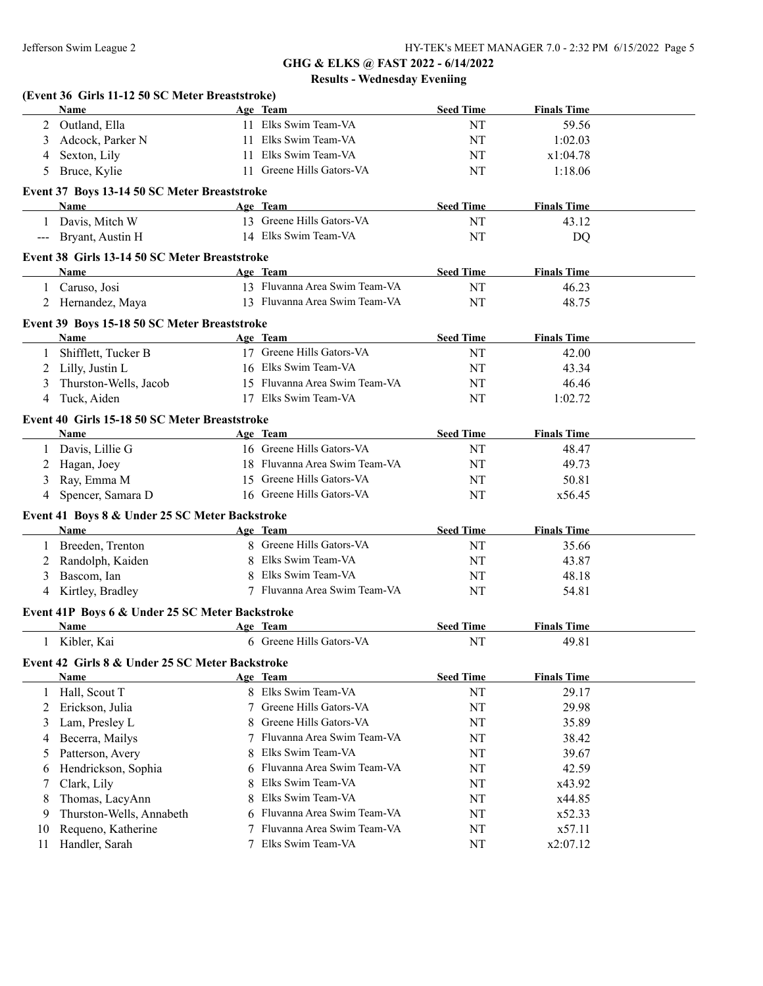|    | (Event 36 Girls 11-12 50 SC Meter Breaststroke)<br>Name |   | Age Team                      | <b>Seed Time</b> | <b>Finals Time</b> |  |
|----|---------------------------------------------------------|---|-------------------------------|------------------|--------------------|--|
|    | 2 Outland, Ella                                         |   | 11 Elks Swim Team-VA          | NT               | 59.56              |  |
| 3  | Adcock, Parker N                                        |   | 11 Elks Swim Team-VA          | NT               | 1:02.03            |  |
|    |                                                         |   | 11 Elks Swim Team-VA          | NT               | x1:04.78           |  |
| 4  | Sexton, Lily                                            |   | 11 Greene Hills Gators-VA     | NT               |                    |  |
| 5  | Bruce, Kylie                                            |   |                               |                  | 1:18.06            |  |
|    | Event 37 Boys 13-14 50 SC Meter Breaststroke            |   |                               |                  |                    |  |
|    | Name                                                    |   | Age Team                      | <b>Seed Time</b> | <b>Finals Time</b> |  |
|    | 1 Davis, Mitch W                                        |   | 13 Greene Hills Gators-VA     | NT               | 43.12              |  |
|    | --- Bryant, Austin H                                    |   | 14 Elks Swim Team-VA          | NT               | DQ                 |  |
|    | Event 38 Girls 13-14 50 SC Meter Breaststroke           |   |                               |                  |                    |  |
|    | Name                                                    |   | Age Team                      | <b>Seed Time</b> | <b>Finals Time</b> |  |
|    | 1 Caruso, Josi                                          |   | 13 Fluvanna Area Swim Team-VA | NT               | 46.23              |  |
|    | 2 Hernandez, Maya                                       |   | 13 Fluvanna Area Swim Team-VA | NT               | 48.75              |  |
|    | Event 39 Boys 15-18 50 SC Meter Breaststroke            |   |                               |                  |                    |  |
|    | Name                                                    |   | Age Team                      | <b>Seed Time</b> | <b>Finals Time</b> |  |
|    | Shifflett, Tucker B                                     |   | 17 Greene Hills Gators-VA     | NT               | 42.00              |  |
|    | 2 Lilly, Justin L                                       |   | 16 Elks Swim Team-VA          | NT               | 43.34              |  |
| 3  | Thurston-Wells, Jacob                                   |   | 15 Fluvanna Area Swim Team-VA | NT               | 46.46              |  |
|    | 4 Tuck, Aiden                                           |   | 17 Elks Swim Team-VA          | NT               | 1:02.72            |  |
|    | Event 40 Girls 15-18 50 SC Meter Breaststroke           |   |                               |                  |                    |  |
|    | Name                                                    |   | Age Team                      | <b>Seed Time</b> | <b>Finals Time</b> |  |
| 1  | Davis, Lillie G                                         |   | 16 Greene Hills Gators-VA     | NT               | 48.47              |  |
| 2  | Hagan, Joey                                             |   | 18 Fluvanna Area Swim Team-VA | NT               | 49.73              |  |
| 3  | Ray, Emma M                                             |   | 15 Greene Hills Gators-VA     | NT               | 50.81              |  |
|    | 4 Spencer, Samara D                                     |   | 16 Greene Hills Gators-VA     | NT               | x56.45             |  |
|    |                                                         |   |                               |                  |                    |  |
|    | Event 41 Boys 8 & Under 25 SC Meter Backstroke<br>Name  |   | Age Team                      | <b>Seed Time</b> | <b>Finals Time</b> |  |
|    | Breeden, Trenton                                        |   | 8 Greene Hills Gators-VA      | NT               | 35.66              |  |
|    |                                                         |   | 8 Elks Swim Team-VA           | NT               | 43.87              |  |
| 2  | Randolph, Kaiden                                        |   | Elks Swim Team-VA             | NT               |                    |  |
| 3  | Bascom, Ian                                             |   | 7 Fluvanna Area Swim Team-VA  | NT               | 48.18              |  |
| 4  | Kirtley, Bradley                                        |   |                               |                  | 54.81              |  |
|    | Event 41P Boys 6 & Under 25 SC Meter Backstroke         |   |                               |                  |                    |  |
|    | <b>Name</b>                                             |   | Age Team                      | <b>Seed Time</b> | <b>Finals Time</b> |  |
|    | 1 Kibler, Kai                                           |   | 6 Greene Hills Gators-VA      | NT               | 49.81              |  |
|    | Event 42 Girls 8 & Under 25 SC Meter Backstroke         |   |                               |                  |                    |  |
|    | Name                                                    |   | Age Team                      | <b>Seed Time</b> | <b>Finals Time</b> |  |
| 1  | Hall, Scout T                                           |   | 8 Elks Swim Team-VA           | NT               | 29.17              |  |
| 2  | Erickson, Julia                                         | 7 | Greene Hills Gators-VA        | NT               | 29.98              |  |
| 3  | Lam, Presley L                                          | 8 | Greene Hills Gators-VA        | NT               | 35.89              |  |
| 4  | Becerra, Mailys                                         | 7 | Fluvanna Area Swim Team-VA    | NT               | 38.42              |  |
| 5  | Patterson, Avery                                        | 8 | Elks Swim Team-VA             | NT               | 39.67              |  |
|    |                                                         |   | Fluvanna Area Swim Team-VA    | NT               | 42.59              |  |
| 6  | Hendrickson, Sophia                                     | 6 |                               |                  |                    |  |
| 7  | Clark, Lily                                             | 8 | Elks Swim Team-VA             | NT               | x43.92             |  |
| 8  | Thomas, LacyAnn                                         | 8 | Elks Swim Team-VA             | NT               | x44.85             |  |
| 9  | Thurston-Wells, Annabeth                                | 6 | Fluvanna Area Swim Team-VA    | NT               | x52.33             |  |
| 10 | Requeno, Katherine                                      | 7 | Fluvanna Area Swim Team-VA    | NT               | x57.11             |  |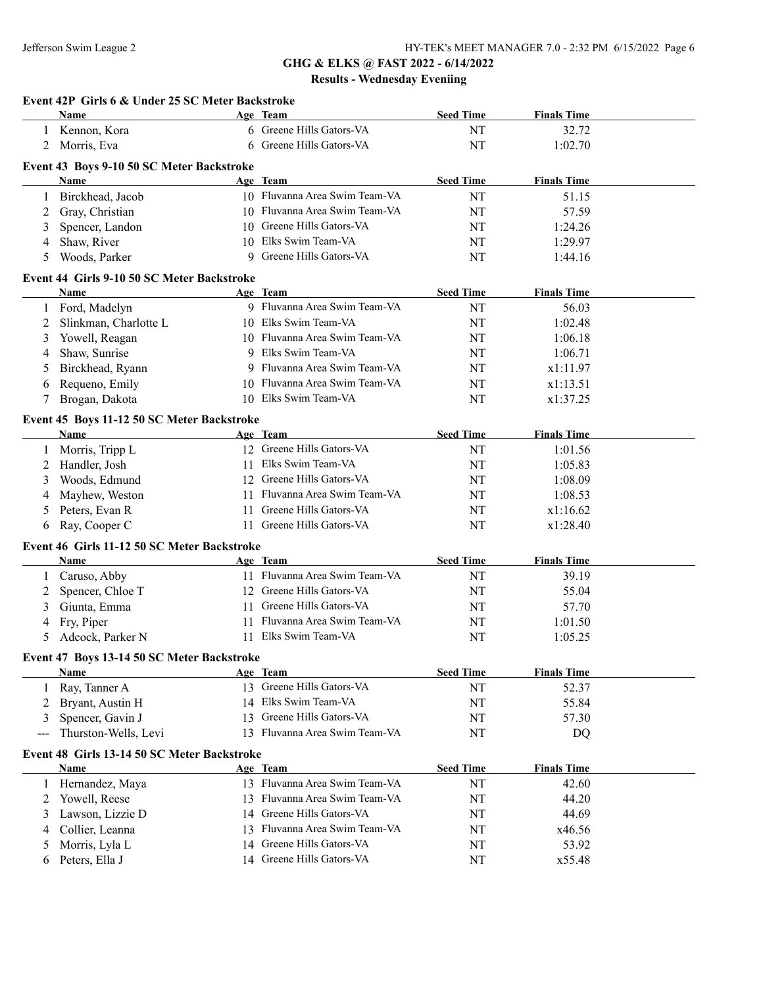|        | Event 42P Girls 6 & Under 25 SC Meter Backstroke   |    |                                                            |                        |                             |  |
|--------|----------------------------------------------------|----|------------------------------------------------------------|------------------------|-----------------------------|--|
|        | <b>Name</b>                                        |    | Age Team                                                   | <b>Seed Time</b>       | <b>Finals Time</b>          |  |
| 1      | Kennon, Kora                                       |    | 6 Greene Hills Gators-VA                                   | NT                     | 32.72                       |  |
| 2      | Morris, Eva                                        |    | 6 Greene Hills Gators-VA                                   | NT                     | 1:02.70                     |  |
|        | Event 43 Boys 9-10 50 SC Meter Backstroke          |    |                                                            |                        |                             |  |
|        | Name                                               |    | Age Team                                                   | <b>Seed Time</b>       | <b>Finals Time</b>          |  |
| 1      | Birckhead, Jacob                                   |    | 10 Fluvanna Area Swim Team-VA                              | NT                     | 51.15                       |  |
| 2      | Gray, Christian                                    |    | 10 Fluvanna Area Swim Team-VA                              | NT                     | 57.59                       |  |
| 3      | Spencer, Landon                                    |    | 10 Greene Hills Gators-VA                                  | NT                     | 1:24.26                     |  |
| 4      | Shaw, River                                        |    | 10 Elks Swim Team-VA                                       | NT                     | 1:29.97                     |  |
| 5      | Woods, Parker                                      |    | 9 Greene Hills Gators-VA                                   | NT                     | 1:44.16                     |  |
|        | Event 44 Girls 9-10 50 SC Meter Backstroke         |    |                                                            |                        |                             |  |
|        | Name                                               |    | Age Team                                                   | <b>Seed Time</b>       | <b>Finals Time</b>          |  |
| 1      | Ford, Madelyn                                      |    | 9 Fluvanna Area Swim Team-VA                               | NT                     | 56.03                       |  |
| 2      | Slinkman, Charlotte L                              |    | 10 Elks Swim Team-VA                                       | NT                     | 1:02.48                     |  |
| 3      | Yowell, Reagan                                     |    | 10 Fluvanna Area Swim Team-VA                              | NT                     | 1:06.18                     |  |
| 4      | Shaw, Sunrise                                      |    | 9 Elks Swim Team-VA                                        | NT                     | 1:06.71                     |  |
| 5      | Birckhead, Ryann                                   |    | 9 Fluvanna Area Swim Team-VA                               | NT                     | x1:11.97                    |  |
| 6      | Requeno, Emily                                     |    | 10 Fluvanna Area Swim Team-VA                              | NT                     | x1:13.51                    |  |
| 7      | Brogan, Dakota                                     |    | 10 Elks Swim Team-VA                                       | NT                     | x1:37.25                    |  |
|        | Event 45 Boys 11-12 50 SC Meter Backstroke         |    |                                                            |                        |                             |  |
|        | Name                                               |    | Age Team                                                   | <b>Seed Time</b>       | <b>Finals Time</b>          |  |
| 1      | Morris, Tripp L                                    |    | 12 Greene Hills Gators-VA                                  | NT                     | 1:01.56                     |  |
| 2      | Handler, Josh                                      |    | 11 Elks Swim Team-VA                                       | NT                     | 1:05.83                     |  |
| 3      | Woods, Edmund                                      |    | 12 Greene Hills Gators-VA                                  | NT                     | 1:08.09                     |  |
| 4      | Mayhew, Weston                                     |    | 11 Fluvanna Area Swim Team-VA                              | NT                     | 1:08.53                     |  |
| 5      | Peters, Evan R                                     |    | 11 Greene Hills Gators-VA                                  | NT                     | x1:16.62                    |  |
| 6      | Ray, Cooper C                                      | 11 | Greene Hills Gators-VA                                     | NT                     | x1:28.40                    |  |
|        | Event 46 Girls 11-12 50 SC Meter Backstroke        |    |                                                            |                        |                             |  |
|        | Name                                               |    | Age Team                                                   | <b>Seed Time</b>       | <b>Finals Time</b>          |  |
| 1      | Caruso, Abby                                       |    | 11 Fluvanna Area Swim Team-VA                              | NT                     | 39.19                       |  |
| 2      | Spencer, Chloe T                                   |    | 12 Greene Hills Gators-VA                                  | NT                     | 55.04                       |  |
| 3      | Giunta, Emma                                       |    | 11 Greene Hills Gators-VA                                  | NT                     | 57.70                       |  |
| 4      | Fry, Piper                                         | 11 | Fluvanna Area Swim Team-VA                                 | NT                     | 1:01.50                     |  |
| 5      | Adcock, Parker N                                   |    | 11 Elks Swim Team-VA                                       | NT                     | 1:05.25                     |  |
|        |                                                    |    |                                                            |                        |                             |  |
|        | Event 47 Boys 13-14 50 SC Meter Backstroke<br>Name |    | Age Team                                                   | <b>Seed Time</b>       | <b>Finals Time</b>          |  |
| 1      | Ray, Tanner A                                      |    | 13 Greene Hills Gators-VA                                  | NT                     | 52.37                       |  |
| 2      | Bryant, Austin H                                   |    | 14 Elks Swim Team-VA                                       | NT                     | 55.84                       |  |
|        |                                                    |    | 13 Greene Hills Gators-VA                                  |                        |                             |  |
| 3      | Spencer, Gavin J<br>Thurston-Wells, Levi           |    | 13 Fluvanna Area Swim Team-VA                              | NT<br>NT               | 57.30                       |  |
| ---    |                                                    |    |                                                            |                        | DQ                          |  |
|        | Event 48 Girls 13-14 50 SC Meter Backstroke        |    |                                                            |                        |                             |  |
| 1      | Name<br>Hernandez, Maya                            |    | Age Team<br>13 Fluvanna Area Swim Team-VA                  | <b>Seed Time</b><br>NT | <b>Finals Time</b><br>42.60 |  |
|        |                                                    |    | 13 Fluvanna Area Swim Team-VA                              |                        |                             |  |
| 2      | Yowell, Reese                                      |    |                                                            | NT                     | 44.20                       |  |
| 3      | Lawson, Lizzie D                                   |    | 14 Greene Hills Gators-VA                                  | NT                     | 44.69                       |  |
| 4      | Collier, Leanna                                    |    | 13 Fluvanna Area Swim Team-VA<br>14 Greene Hills Gators-VA | NT                     | x46.56<br>53.92             |  |
|        |                                                    |    |                                                            | NT                     |                             |  |
| 5<br>6 | Morris, Lyla L<br>Peters, Ella J                   |    | 14 Greene Hills Gators-VA                                  | NT                     | x55.48                      |  |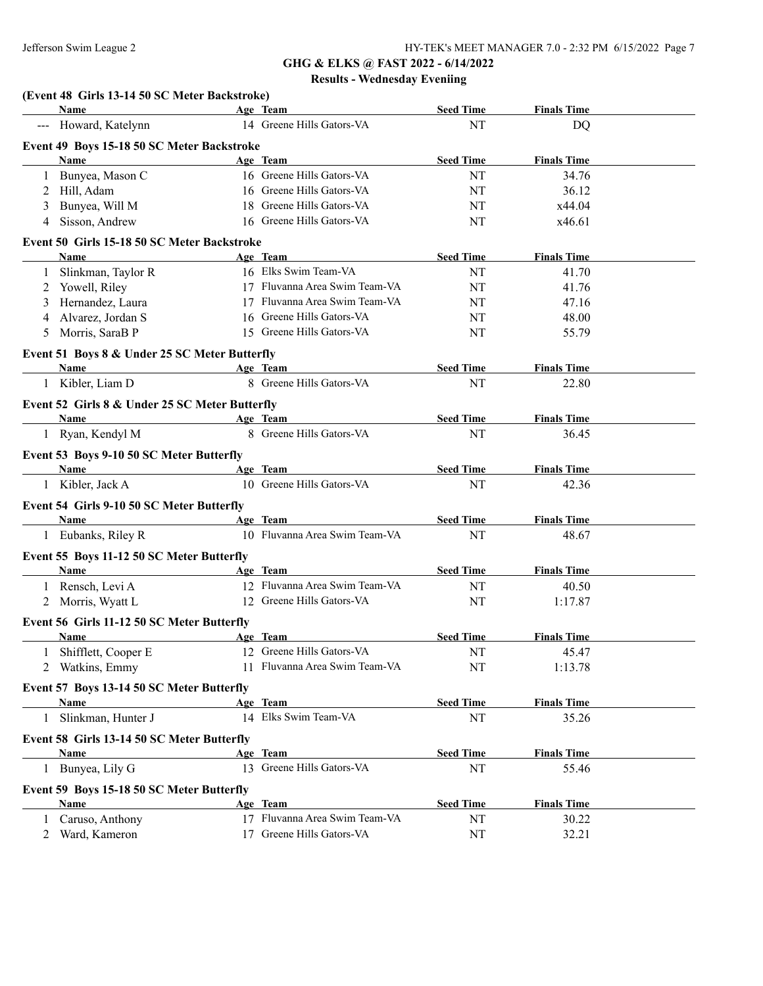| Name                                                | Age Team                      | <b>Seed Time</b> | <b>Finals Time</b> |  |
|-----------------------------------------------------|-------------------------------|------------------|--------------------|--|
| --- Howard, Katelynn                                | 14 Greene Hills Gators-VA     | NT               | <b>DQ</b>          |  |
| Event 49 Boys 15-18 50 SC Meter Backstroke          |                               |                  |                    |  |
| <b>Name</b>                                         | Age Team                      | <b>Seed Time</b> | <b>Finals Time</b> |  |
| Bunyea, Mason C<br>1                                | 16 Greene Hills Gators-VA     | NT               | 34.76              |  |
| Hill, Adam<br>2                                     | 16 Greene Hills Gators-VA     | NT               | 36.12              |  |
| Bunyea, Will M<br>3                                 | 18 Greene Hills Gators-VA     | NT               | x44.04             |  |
| Sisson, Andrew<br>4                                 | 16 Greene Hills Gators-VA     | NT               | x46.61             |  |
|                                                     |                               |                  |                    |  |
| Event 50 Girls 15-18 50 SC Meter Backstroke<br>Name | Age Team                      | <b>Seed Time</b> | <b>Finals Time</b> |  |
|                                                     | 16 Elks Swim Team-VA          |                  |                    |  |
| Slinkman, Taylor R<br>1                             |                               | NT               | 41.70              |  |
| Yowell, Riley<br>2                                  | 17 Fluvanna Area Swim Team-VA | NT               | 41.76              |  |
| Hernandez, Laura<br>3                               | 17 Fluvanna Area Swim Team-VA | NT               | 47.16              |  |
| Alvarez, Jordan S<br>4                              | 16 Greene Hills Gators-VA     | NT               | 48.00              |  |
| Morris, SaraB P<br>5                                | 15 Greene Hills Gators-VA     | NT               | 55.79              |  |
| Event 51 Boys 8 & Under 25 SC Meter Butterfly       |                               |                  |                    |  |
| Name                                                | Age Team                      | <b>Seed Time</b> | <b>Finals Time</b> |  |
| Kibler, Liam D<br>1                                 | 8 Greene Hills Gators-VA      | NT               | 22.80              |  |
| Event 52 Girls 8 & Under 25 SC Meter Butterfly      |                               |                  |                    |  |
| Name                                                | Age Team                      | <b>Seed Time</b> | <b>Finals Time</b> |  |
| 1 Ryan, Kendyl M                                    | 8 Greene Hills Gators-VA      | NT               | 36.45              |  |
| Event 53 Boys 9-10 50 SC Meter Butterfly            |                               |                  |                    |  |
| <b>Name</b>                                         | Age Team                      | <b>Seed Time</b> | <b>Finals Time</b> |  |
| 1 Kibler, Jack A                                    | 10 Greene Hills Gators-VA     | NT               | 42.36              |  |
|                                                     |                               |                  |                    |  |
| Event 54 Girls 9-10 50 SC Meter Butterfly           |                               |                  |                    |  |
| Name                                                | Age Team                      | <b>Seed Time</b> | <b>Finals Time</b> |  |
| 1 Eubanks, Riley R                                  | 10 Fluvanna Area Swim Team-VA | NT               | 48.67              |  |
| Event 55 Boys 11-12 50 SC Meter Butterfly           |                               |                  |                    |  |
| <b>Name</b>                                         | Age Team                      | <b>Seed Time</b> | <b>Finals Time</b> |  |
| 1 Rensch, Levi A                                    | 12 Fluvanna Area Swim Team-VA | NT               | 40.50              |  |
| 2 Morris, Wyatt L                                   | 12 Greene Hills Gators-VA     | <b>NT</b>        | 1:17.87            |  |
| Event 56 Girls 11-12 50 SC Meter Butterfly          |                               |                  |                    |  |
| Name                                                | Age Team                      | <b>Seed Time</b> | <b>Finals Time</b> |  |
| Shifflett, Cooper E                                 | 12 Greene Hills Gators-VA     | NT               | 45.47              |  |
| 2 Watkins, Emmy                                     | 11 Fluvanna Area Swim Team-VA |                  |                    |  |
|                                                     |                               | NT               | 1:13.78            |  |
| Event 57 Boys 13-14 50 SC Meter Butterfly           |                               |                  |                    |  |
| <b>Name</b>                                         | Age Team                      | <b>Seed Time</b> | <b>Finals Time</b> |  |
| Slinkman, Hunter J<br>1                             | 14 Elks Swim Team-VA          | NT               | 35.26              |  |
| Event 58 Girls 13-14 50 SC Meter Butterfly          |                               |                  |                    |  |
| Name                                                | Age Team                      | <b>Seed Time</b> | <b>Finals Time</b> |  |
| 1 Bunyea, Lily G                                    | 13 Greene Hills Gators-VA     | NT               | 55.46              |  |
| Event 59 Boys 15-18 50 SC Meter Butterfly           |                               |                  |                    |  |
|                                                     |                               |                  |                    |  |
| Name                                                | Age Team                      | <b>Seed Time</b> | <b>Finals Time</b> |  |
| 1 Caruso, Anthony                                   | 17 Fluvanna Area Swim Team-VA | NT               | 30.22              |  |
| Ward, Kameron<br>$\overline{2}$                     | 17 Greene Hills Gators-VA     | NT               | 32.21              |  |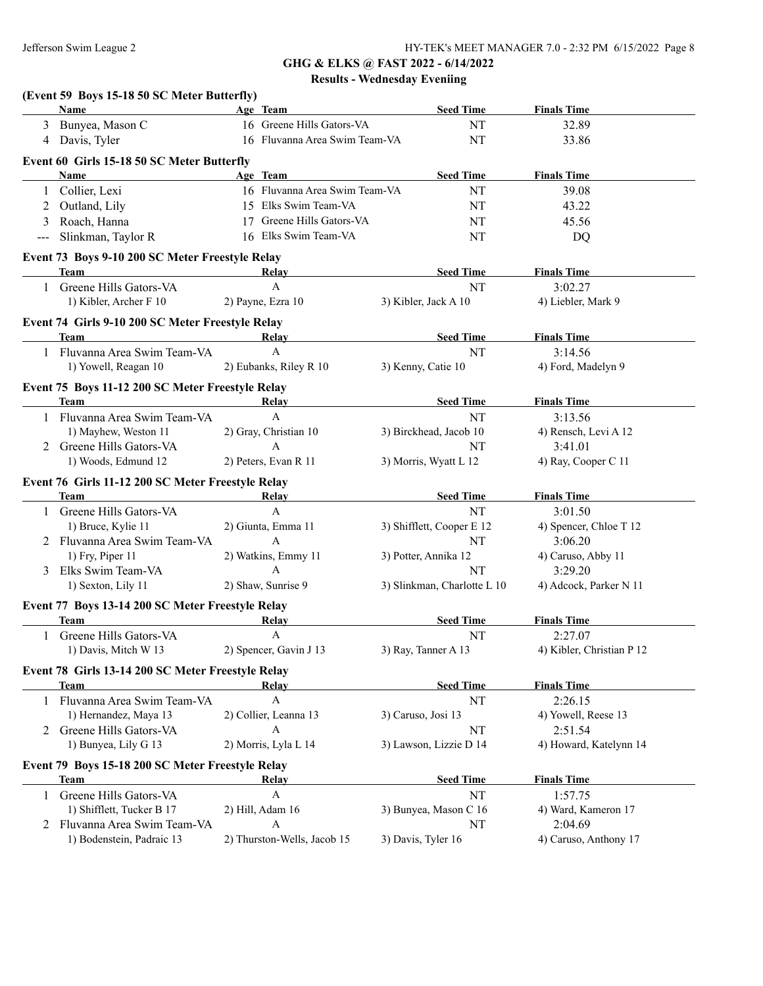|                   | (Event 59 Boys 15-18 50 SC Meter Butterfly)<br>Name             | Age Team                            | <b>Seed Time</b>            | <b>Finals Time</b>        |
|-------------------|-----------------------------------------------------------------|-------------------------------------|-----------------------------|---------------------------|
|                   | 3 Bunyea, Mason C                                               | 16 Greene Hills Gators-VA           | NT                          | 32.89                     |
|                   | 4 Davis, Tyler                                                  | 16 Fluvanna Area Swim Team-VA<br>NT |                             | 33.86                     |
|                   | Event 60 Girls 15-18 50 SC Meter Butterfly                      |                                     |                             |                           |
|                   | Name                                                            | Age Team                            | <b>Seed Time</b>            | <b>Finals Time</b>        |
| 1                 | Collier, Lexi                                                   | 16 Fluvanna Area Swim Team-VA       | NT                          | 39.08                     |
| 2                 | Outland, Lily                                                   | 15 Elks Swim Team-VA                | NT                          | 43.22                     |
| 3                 | Roach, Hanna                                                    | 17 Greene Hills Gators-VA           |                             | 45.56                     |
| $\qquad \qquad -$ | Slinkman, Taylor R                                              | 16 Elks Swim Team-VA                | NT<br>NT                    | DQ                        |
|                   |                                                                 |                                     |                             |                           |
|                   | Event 73 Boys 9-10 200 SC Meter Freestyle Relay<br>Team         | Relay                               | <b>Seed Time</b>            | <b>Finals Time</b>        |
|                   | Greene Hills Gators-VA                                          | $\mathbf{A}$                        | NT                          | 3:02.27                   |
|                   |                                                                 |                                     |                             |                           |
|                   | 1) Kibler, Archer F 10                                          | 2) Payne, Ezra 10                   | 3) Kibler, Jack A 10        | 4) Liebler, Mark 9        |
|                   | Event 74 Girls 9-10 200 SC Meter Freestyle Relay                |                                     |                             |                           |
|                   | Team                                                            | Relay                               | <b>Seed Time</b>            | <b>Finals Time</b>        |
|                   | 1 Fluvanna Area Swim Team-VA                                    | $\mathbf{A}$                        | <b>NT</b>                   | 3:14.56                   |
|                   | 1) Yowell, Reagan 10                                            | 2) Eubanks, Riley R 10              | 3) Kenny, Catie 10          | 4) Ford, Madelyn 9        |
|                   | Event 75 Boys 11-12 200 SC Meter Freestyle Relay                |                                     |                             |                           |
|                   | Team                                                            | Relay                               | <b>Seed Time</b>            | <b>Finals Time</b>        |
|                   | 1 Fluvanna Area Swim Team-VA                                    | $\mathbf{A}$                        | NT                          | 3:13.56                   |
|                   | 1) Mayhew, Weston 11                                            | 2) Gray, Christian 10               | 3) Birckhead, Jacob 10      | 4) Rensch, Levi A 12      |
|                   | 2 Greene Hills Gators-VA                                        | $\mathbf{A}$                        | NT                          | 3:41.01                   |
|                   | 1) Woods, Edmund 12                                             | 2) Peters, Evan R 11                | 3) Morris, Wyatt L 12       | 4) Ray, Cooper C 11       |
|                   | Event 76 Girls 11-12 200 SC Meter Freestyle Relay               |                                     |                             |                           |
|                   | Team                                                            | Relay                               | <b>Seed Time</b>            | <b>Finals Time</b>        |
|                   | Greene Hills Gators-VA                                          | $\mathbf{A}$                        | NT                          | 3:01.50                   |
|                   | 1) Bruce, Kylie 11                                              | 2) Giunta, Emma 11                  | 3) Shifflett, Cooper E 12   | 4) Spencer, Chloe T 12    |
|                   | 2 Fluvanna Area Swim Team-VA                                    | A                                   | NT                          | 3:06.20                   |
|                   | 1) Fry, Piper 11                                                | 2) Watkins, Emmy 11                 | 3) Potter, Annika 12        | 4) Caruso, Abby 11        |
|                   | 3 Elks Swim Team-VA                                             | A                                   | NT                          | 3:29.20                   |
|                   | 1) Sexton, Lily 11                                              | 2) Shaw, Sunrise 9                  | 3) Slinkman, Charlotte L 10 | 4) Adcock, Parker N 11    |
|                   | Event 77 Boys 13-14 200 SC Meter Freestyle Relay                |                                     |                             |                           |
|                   | Team                                                            | <b>Relay</b>                        | <b>Seed Time</b>            | <b>Finals Time</b>        |
|                   | 1 Greene Hills Gators-VA                                        | $\mathbf{A}$                        | NT                          | 2:27.07                   |
|                   | 1) Davis, Mitch W 13                                            | 2) Spencer, Gavin J 13              | 3) Ray, Tanner A 13         | 4) Kibler, Christian P 12 |
|                   | Event 78 Girls 13-14 200 SC Meter Freestyle Relay               |                                     |                             |                           |
|                   | <b>Team</b>                                                     | Relay                               | <b>Seed Time</b>            | <b>Finals Time</b>        |
|                   | 1 Fluvanna Area Swim Team-VA                                    | $\boldsymbol{\rm{A}}$               | NT                          | 2:26.15                   |
|                   | 1) Hernandez, Maya 13                                           | 2) Collier, Leanna 13               | 3) Caruso, Josi 13          | 4) Yowell, Reese 13       |
|                   | 2 Greene Hills Gators-VA                                        | $\mathbf{A}$                        | NT                          | 2:51.54                   |
|                   | 1) Bunyea, Lily G 13                                            | 2) Morris, Lyla L 14                | 3) Lawson, Lizzie D 14      | 4) Howard, Katelynn 14    |
|                   |                                                                 |                                     |                             |                           |
|                   | Event 79 Boys 15-18 200 SC Meter Freestyle Relay<br><b>Team</b> | Relay                               | <b>Seed Time</b>            | <b>Finals Time</b>        |
|                   | Greene Hills Gators-VA                                          | A                                   | NT                          | 1:57.75                   |
|                   | 1) Shifflett, Tucker B 17                                       | 2) Hill, Adam 16                    | 3) Bunyea, Mason C 16       | 4) Ward, Kameron 17       |
|                   | 2 Fluvanna Area Swim Team-VA                                    | A                                   | NΤ                          | 2:04.69                   |
|                   | 1) Bodenstein, Padraic 13                                       | 2) Thurston-Wells, Jacob 15         | 3) Davis, Tyler 16          | 4) Caruso, Anthony 17     |
|                   |                                                                 |                                     |                             |                           |